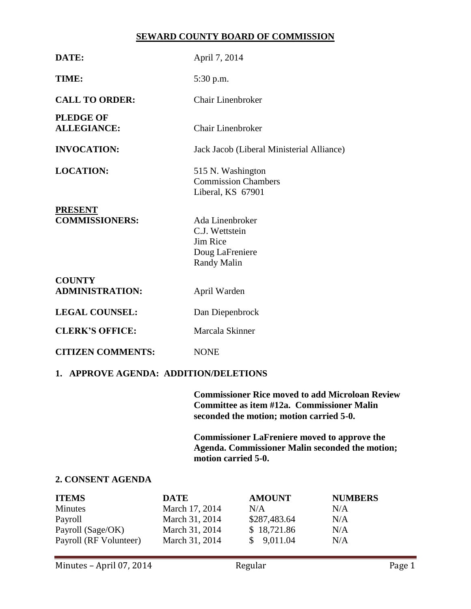### **SEWARD COUNTY BOARD OF COMMISSION**

| DATE:                                   | April 7, 2014                                                                          |  |  |  |
|-----------------------------------------|----------------------------------------------------------------------------------------|--|--|--|
| TIME:                                   | 5:30 p.m.                                                                              |  |  |  |
| <b>CALL TO ORDER:</b>                   | <b>Chair Linenbroker</b>                                                               |  |  |  |
| <b>PLEDGE OF</b><br><b>ALLEGIANCE:</b>  | Chair Linenbroker                                                                      |  |  |  |
| <b>INVOCATION:</b>                      | Jack Jacob (Liberal Ministerial Alliance)                                              |  |  |  |
| <b>LOCATION:</b>                        | 515 N. Washington<br><b>Commission Chambers</b><br>Liberal, KS 67901                   |  |  |  |
| <b>PRESENT</b><br><b>COMMISSIONERS:</b> | Ada Linenbroker<br>C.J. Wettstein<br>Jim Rice<br>Doug LaFreniere<br><b>Randy Malin</b> |  |  |  |
| <b>COUNTY</b><br><b>ADMINISTRATION:</b> | April Warden                                                                           |  |  |  |
| <b>LEGAL COUNSEL:</b>                   | Dan Diepenbrock                                                                        |  |  |  |
| <b>CLERK'S OFFICE:</b>                  | Marcala Skinner                                                                        |  |  |  |
| <b>CITIZEN COMMENTS:</b>                | <b>NONE</b>                                                                            |  |  |  |
| 1. APPROVE AGENDA: ADDITION/DELETIONS   |                                                                                        |  |  |  |

**Commissioner Rice moved to add Microloan Review Committee as item #12a. Commissioner Malin seconded the motion; motion carried 5-0.**

**Commissioner LaFreniere moved to approve the Agenda. Commissioner Malin seconded the motion; motion carried 5-0.**

# **2. CONSENT AGENDA**

| <b>ITEMS</b>           | <b>DATE</b>    | <b>AMOUNT</b> | <b>NUMBERS</b> |
|------------------------|----------------|---------------|----------------|
| <b>Minutes</b>         | March 17, 2014 | N/A           | N/A            |
| Payroll                | March 31, 2014 | \$287,483.64  | N/A            |
| Payroll (Sage/OK)      | March 31, 2014 | \$18,721.86   | N/A            |
| Payroll (RF Volunteer) | March 31, 2014 | \$9,011.04    | N/A            |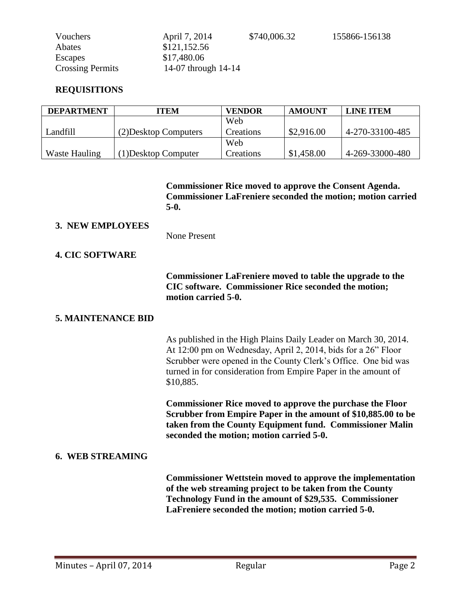| Vouchers                | April 7, 2014       | \$740,006.32 |
|-------------------------|---------------------|--------------|
| Abates                  | \$121,152.56        |              |
| Escapes                 | \$17,480.06         |              |
| <b>Crossing Permits</b> | 14-07 through 14-14 |              |

#### **REQUISITIONS**

| <b>DEPARTMENT</b> | ITEM                  | <b>VENDOR</b> | <b>AMOUNT</b> | <b>LINE ITEM</b> |
|-------------------|-----------------------|---------------|---------------|------------------|
|                   |                       | Web           |               |                  |
| Landfill -        | (2) Desktop Computers | Creations     | \$2,916.00    | 4-270-33100-485  |
|                   |                       | Web           |               |                  |
| Waste Hauling     | (1) Desktop Computer  | Creations     | \$1,458.00    | 4-269-33000-480  |

**Commissioner Rice moved to approve the Consent Agenda. Commissioner LaFreniere seconded the motion; motion carried 5-0.**

155866-156138

#### **3. NEW EMPLOYEES**

None Present

### **4. CIC SOFTWARE**

**Commissioner LaFreniere moved to table the upgrade to the CIC software. Commissioner Rice seconded the motion; motion carried 5-0.**

### **5. MAINTENANCE BID**

As published in the High Plains Daily Leader on March 30, 2014. At 12:00 pm on Wednesday, April 2, 2014, bids for a 26" Floor Scrubber were opened in the County Clerk's Office. One bid was turned in for consideration from Empire Paper in the amount of \$10,885.

**Commissioner Rice moved to approve the purchase the Floor Scrubber from Empire Paper in the amount of \$10,885.00 to be taken from the County Equipment fund. Commissioner Malin seconded the motion; motion carried 5-0.** 

### **6. WEB STREAMING**

**Commissioner Wettstein moved to approve the implementation of the web streaming project to be taken from the County Technology Fund in the amount of \$29,535. Commissioner LaFreniere seconded the motion; motion carried 5-0.**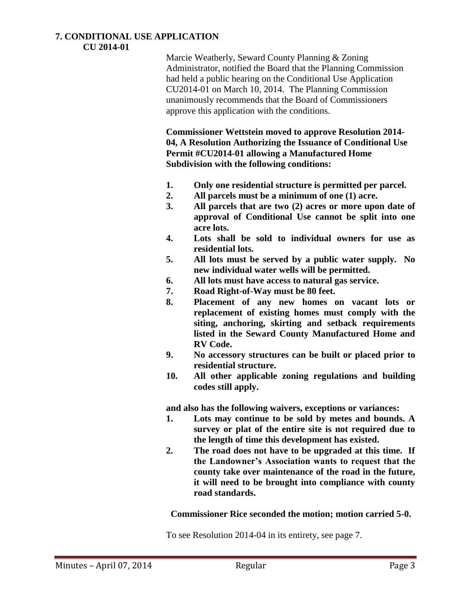#### **7. CONDITIONAL USE APPLICATION CU 2014-01**

Marcie Weatherly, Seward County Planning & Zoning Administrator, notified the Board that the Planning Commission had held a public hearing on the Conditional Use Application CU2014-01 on March 10, 2014. The Planning Commission unanimously recommends that the Board of Commissioners approve this application with the conditions.

**Commissioner Wettstein moved to approve Resolution 2014- 04, A Resolution Authorizing the Issuance of Conditional Use Permit #CU2014-01 allowing a Manufactured Home Subdivision with the following conditions:**

- **1. Only one residential structure is permitted per parcel.**
- **2. All parcels must be a minimum of one (1) acre.**
- **3. All parcels that are two (2) acres or more upon date of approval of Conditional Use cannot be split into one acre lots.**
- **4. Lots shall be sold to individual owners for use as residential lots.**
- **5. All lots must be served by a public water supply. No new individual water wells will be permitted.**
- **6. All lots must have access to natural gas service.**
- **7. Road Right-of-Way must be 80 feet.**
- **8. Placement of any new homes on vacant lots or replacement of existing homes must comply with the siting, anchoring, skirting and setback requirements listed in the Seward County Manufactured Home and RV Code.**
- **9. No accessory structures can be built or placed prior to residential structure.**
- **10. All other applicable zoning regulations and building codes still apply.**

**and also has the following waivers, exceptions or variances:**

- **1. Lots may continue to be sold by metes and bounds. A survey or plat of the entire site is not required due to the length of time this development has existed.**
- **2. The road does not have to be upgraded at this time. If the Landowner's Association wants to request that the county take over maintenance of the road in the future, it will need to be brought into compliance with county road standards.**

# **Commissioner Rice seconded the motion; motion carried 5-0.**

To see Resolution 2014-04 in its entirety, see page 7.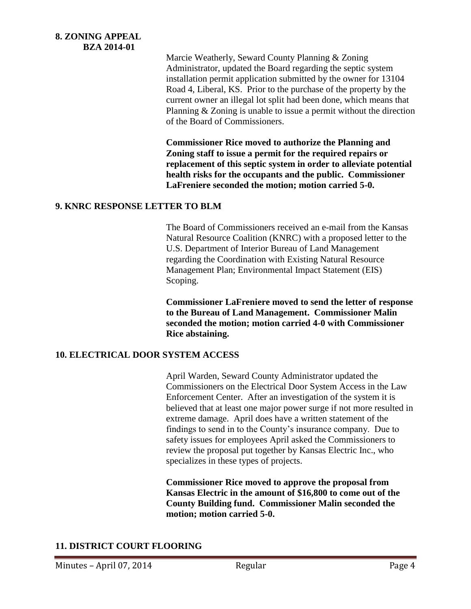**8. ZONING APPEAL BZA 2014-01**

> Marcie Weatherly, Seward County Planning & Zoning Administrator, updated the Board regarding the septic system installation permit application submitted by the owner for 13104 Road 4, Liberal, KS. Prior to the purchase of the property by the current owner an illegal lot split had been done, which means that Planning & Zoning is unable to issue a permit without the direction of the Board of Commissioners.

**Commissioner Rice moved to authorize the Planning and Zoning staff to issue a permit for the required repairs or replacement of this septic system in order to alleviate potential health risks for the occupants and the public. Commissioner LaFreniere seconded the motion; motion carried 5-0.** 

### **9. KNRC RESPONSE LETTER TO BLM**

The Board of Commissioners received an e-mail from the Kansas Natural Resource Coalition (KNRC) with a proposed letter to the U.S. Department of Interior Bureau of Land Management regarding the Coordination with Existing Natural Resource Management Plan; Environmental Impact Statement (EIS) Scoping.

**Commissioner LaFreniere moved to send the letter of response to the Bureau of Land Management. Commissioner Malin seconded the motion; motion carried 4-0 with Commissioner Rice abstaining.** 

### **10. ELECTRICAL DOOR SYSTEM ACCESS**

April Warden, Seward County Administrator updated the Commissioners on the Electrical Door System Access in the Law Enforcement Center. After an investigation of the system it is believed that at least one major power surge if not more resulted in extreme damage. April does have a written statement of the findings to send in to the County's insurance company. Due to safety issues for employees April asked the Commissioners to review the proposal put together by Kansas Electric Inc., who specializes in these types of projects.

**Commissioner Rice moved to approve the proposal from Kansas Electric in the amount of \$16,800 to come out of the County Building fund. Commissioner Malin seconded the motion; motion carried 5-0.**

# **11. DISTRICT COURT FLOORING**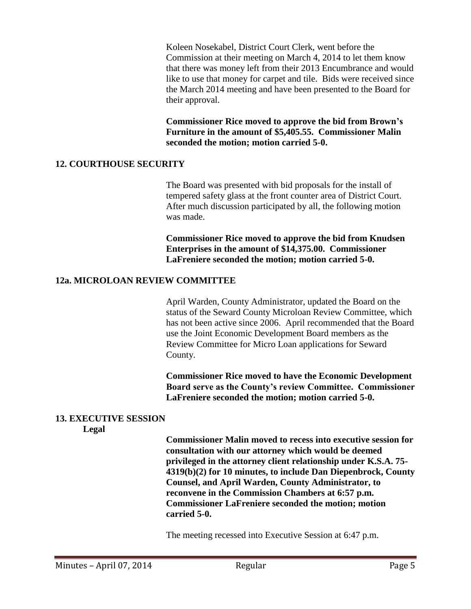Koleen Nosekabel, District Court Clerk, went before the Commission at their meeting on March 4, 2014 to let them know that there was money left from their 2013 Encumbrance and would like to use that money for carpet and tile. Bids were received since the March 2014 meeting and have been presented to the Board for their approval.

**Commissioner Rice moved to approve the bid from Brown's Furniture in the amount of \$5,405.55. Commissioner Malin seconded the motion; motion carried 5-0.**

### **12. COURTHOUSE SECURITY**

The Board was presented with bid proposals for the install of tempered safety glass at the front counter area of District Court. After much discussion participated by all, the following motion was made.

**Commissioner Rice moved to approve the bid from Knudsen Enterprises in the amount of \$14,375.00. Commissioner LaFreniere seconded the motion; motion carried 5-0.**

### **12a. MICROLOAN REVIEW COMMITTEE**

April Warden, County Administrator, updated the Board on the status of the Seward County Microloan Review Committee, which has not been active since 2006. April recommended that the Board use the Joint Economic Development Board members as the Review Committee for Micro Loan applications for Seward County.

**Commissioner Rice moved to have the Economic Development Board serve as the County's review Committee. Commissioner LaFreniere seconded the motion; motion carried 5-0.**

# **13. EXECUTIVE SESSION**

**Legal**

**Commissioner Malin moved to recess into executive session for consultation with our attorney which would be deemed privileged in the attorney client relationship under K.S.A. 75- 4319(b)(2) for 10 minutes, to include Dan Diepenbrock, County Counsel, and April Warden, County Administrator, to reconvene in the Commission Chambers at 6:57 p.m. Commissioner LaFreniere seconded the motion; motion carried 5-0.**

The meeting recessed into Executive Session at 6:47 p.m.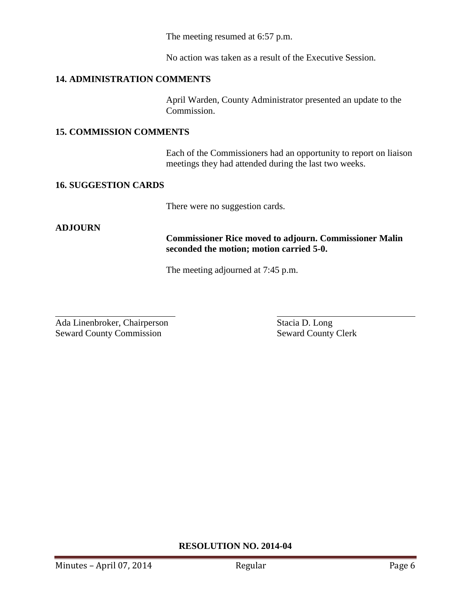The meeting resumed at 6:57 p.m.

No action was taken as a result of the Executive Session.

# **14. ADMINISTRATION COMMENTS**

April Warden, County Administrator presented an update to the Commission.

# **15. COMMISSION COMMENTS**

Each of the Commissioners had an opportunity to report on liaison meetings they had attended during the last two weeks.

# **16. SUGGESTION CARDS**

There were no suggestion cards.

# **ADJOURN**

**Commissioner Rice moved to adjourn. Commissioner Malin seconded the motion; motion carried 5-0.**

The meeting adjourned at 7:45 p.m.

 $\overline{a}$ Ada Linenbroker, Chairperson Stacia D. Long Seward County Commission Seward County Clerk

# **RESOLUTION NO. 2014-04**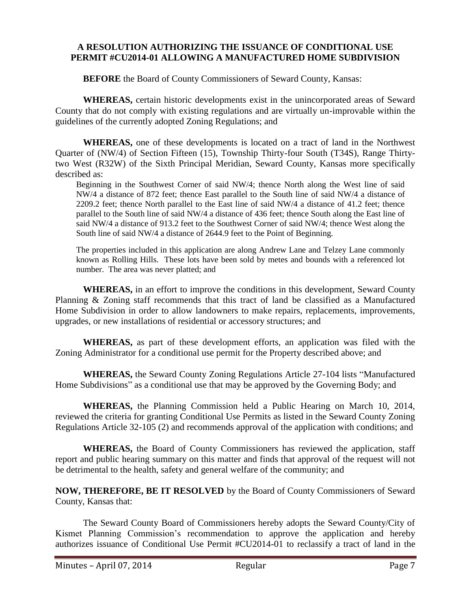### **A RESOLUTION AUTHORIZING THE ISSUANCE OF CONDITIONAL USE PERMIT #CU2014-01 ALLOWING A MANUFACTURED HOME SUBDIVISION**

**BEFORE** the Board of County Commissioners of Seward County, Kansas:

**WHEREAS,** certain historic developments exist in the unincorporated areas of Seward County that do not comply with existing regulations and are virtually un-improvable within the guidelines of the currently adopted Zoning Regulations; and

**WHEREAS,** one of these developments is located on a tract of land in the Northwest Quarter of (NW/4) of Section Fifteen (15), Township Thirty-four South (T34S), Range Thirtytwo West (R32W) of the Sixth Principal Meridian, Seward County, Kansas more specifically described as:

Beginning in the Southwest Corner of said NW/4; thence North along the West line of said NW/4 a distance of 872 feet; thence East parallel to the South line of said NW/4 a distance of 2209.2 feet; thence North parallel to the East line of said NW/4 a distance of 41.2 feet; thence parallel to the South line of said NW/4 a distance of 436 feet; thence South along the East line of said NW/4 a distance of 913.2 feet to the Southwest Corner of said NW/4; thence West along the South line of said NW/4 a distance of 2644.9 feet to the Point of Beginning.

The properties included in this application are along Andrew Lane and Telzey Lane commonly known as Rolling Hills. These lots have been sold by metes and bounds with a referenced lot number. The area was never platted; and

**WHEREAS,** in an effort to improve the conditions in this development, Seward County Planning & Zoning staff recommends that this tract of land be classified as a Manufactured Home Subdivision in order to allow landowners to make repairs, replacements, improvements, upgrades, or new installations of residential or accessory structures; and

**WHEREAS,** as part of these development efforts, an application was filed with the Zoning Administrator for a conditional use permit for the Property described above; and

**WHEREAS,** the Seward County Zoning Regulations Article 27-104 lists "Manufactured Home Subdivisions" as a conditional use that may be approved by the Governing Body; and

**WHEREAS,** the Planning Commission held a Public Hearing on March 10, 2014, reviewed the criteria for granting Conditional Use Permits as listed in the Seward County Zoning Regulations Article 32-105 (2) and recommends approval of the application with conditions; and

**WHEREAS,** the Board of County Commissioners has reviewed the application, staff report and public hearing summary on this matter and finds that approval of the request will not be detrimental to the health, safety and general welfare of the community; and

**NOW, THEREFORE, BE IT RESOLVED** by the Board of County Commissioners of Seward County, Kansas that:

The Seward County Board of Commissioners hereby adopts the Seward County/City of Kismet Planning Commission's recommendation to approve the application and hereby authorizes issuance of Conditional Use Permit #CU2014-01 to reclassify a tract of land in the